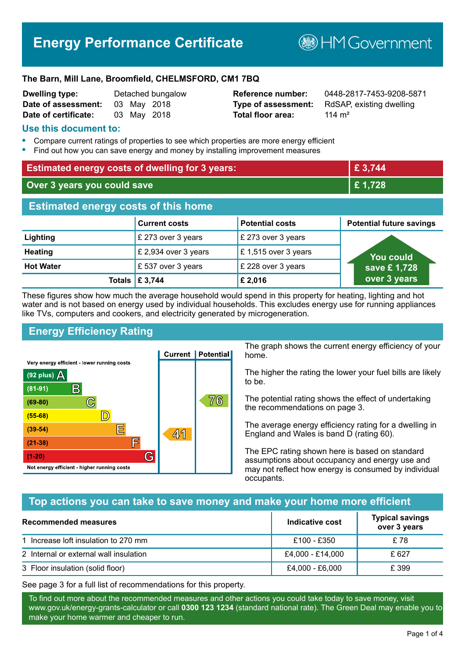# **Energy Performance Certificate**

**B**HM Government

#### **The Barn, Mill Lane, Broomfield, CHELMSFORD, CM1 7BQ**

| <b>Dwelling type:</b> |  | Detached bungalov |
|-----------------------|--|-------------------|
| Date of assessment:   |  | 03 May 2018       |
| Date of certificate:  |  | 03 May 2018       |

# **Total floor area:** 114 m<sup>2</sup>

**Dwelling type:** Detached bungalow **Reference number:** 0448-2817-7453-9208-5871 **Type of assessment:** RdSAP, existing dwelling

#### **Use this document to:**

- **•** Compare current ratings of properties to see which properties are more energy efficient
- **•** Find out how you can save energy and money by installing improvement measures

| <b>Estimated energy costs of dwelling for 3 years:</b> |                           |                        | £ 3,744                         |
|--------------------------------------------------------|---------------------------|------------------------|---------------------------------|
| Over 3 years you could save                            |                           |                        | £1,728                          |
| <b>Estimated energy costs of this home</b>             |                           |                        |                                 |
|                                                        | <b>Current costs</b>      | <b>Potential costs</b> | <b>Potential future savings</b> |
| Lighting                                               | £ 273 over 3 years        | £ 273 over 3 years     |                                 |
| <b>Heating</b>                                         | £ 2,934 over 3 years      | £1,515 over 3 years    | <b>You could</b>                |
| <b>Hot Water</b>                                       | £537 over 3 years         | £ 228 over 3 years     | save £1,728                     |
|                                                        | Totals $\mathsf{E}$ 3,744 | £2,016                 | over 3 years                    |

These figures show how much the average household would spend in this property for heating, lighting and hot water and is not based on energy used by individual households. This excludes energy use for running appliances like TVs, computers and cookers, and electricity generated by microgeneration.

# **Energy Efficiency Rating**



The graph shows the current energy efficiency of your home.

The higher the rating the lower your fuel bills are likely to be.

The potential rating shows the effect of undertaking the recommendations on page 3.

The average energy efficiency rating for a dwelling in England and Wales is band D (rating 60).

The EPC rating shown here is based on standard assumptions about occupancy and energy use and may not reflect how energy is consumed by individual occupants.

# **Top actions you can take to save money and make your home more efficient**

| <b>Recommended measures</b>            | Indicative cost  | <b>Typical savings</b><br>over 3 years |
|----------------------------------------|------------------|----------------------------------------|
| 1 Increase loft insulation to 270 mm   | £100 - £350      | £78                                    |
| 2 Internal or external wall insulation | £4,000 - £14,000 | £627                                   |
| 3 Floor insulation (solid floor)       | £4,000 - £6,000  | £ 399                                  |

See page 3 for a full list of recommendations for this property.

To find out more about the recommended measures and other actions you could take today to save money, visit www.gov.uk/energy-grants-calculator or call **0300 123 1234** (standard national rate). The Green Deal may enable you to make your home warmer and cheaper to run.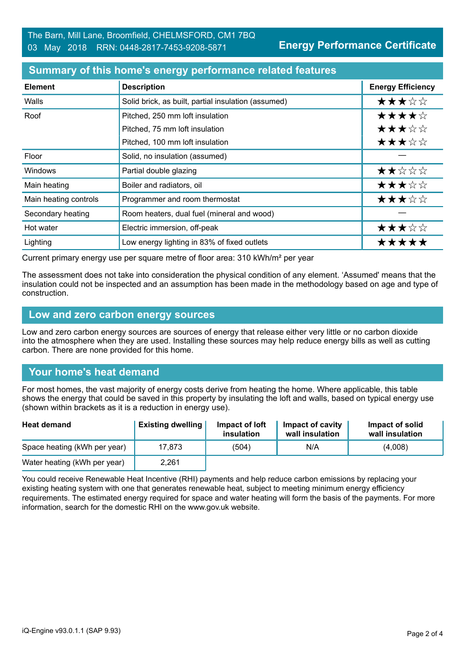#### **Summary of this home's energy performance related features**

| <b>Element</b>        | <b>Description</b>                                  | <b>Energy Efficiency</b> |
|-----------------------|-----------------------------------------------------|--------------------------|
| Walls                 | Solid brick, as built, partial insulation (assumed) | ★★★☆☆                    |
| Roof                  | Pitched, 250 mm loft insulation                     | ★★★★☆                    |
|                       | Pitched, 75 mm loft insulation                      | ★★★☆☆                    |
|                       | Pitched, 100 mm loft insulation                     | ★★★☆☆                    |
| Floor                 | Solid, no insulation (assumed)                      |                          |
| Windows               | Partial double glazing                              | ★★☆☆☆                    |
| Main heating          | Boiler and radiators, oil                           | ★★★☆☆                    |
| Main heating controls | Programmer and room thermostat                      | ★★★☆☆                    |
| Secondary heating     | Room heaters, dual fuel (mineral and wood)          |                          |
| Hot water             | Electric immersion, off-peak                        | ★★★☆☆                    |
| Lighting              | Low energy lighting in 83% of fixed outlets         | *****                    |

Current primary energy use per square metre of floor area: 310 kWh/m² per year

The assessment does not take into consideration the physical condition of any element. 'Assumed' means that the insulation could not be inspected and an assumption has been made in the methodology based on age and type of construction.

#### **Low and zero carbon energy sources**

Low and zero carbon energy sources are sources of energy that release either very little or no carbon dioxide into the atmosphere when they are used. Installing these sources may help reduce energy bills as well as cutting carbon. There are none provided for this home.

# **Your home's heat demand**

For most homes, the vast majority of energy costs derive from heating the home. Where applicable, this table shows the energy that could be saved in this property by insulating the loft and walls, based on typical energy use (shown within brackets as it is a reduction in energy use).

| <b>Heat demand</b>           | <b>Existing dwelling</b> | Impact of loft<br>insulation | Impact of cavity<br>wall insulation | Impact of solid<br>wall insulation |
|------------------------------|--------------------------|------------------------------|-------------------------------------|------------------------------------|
| Space heating (kWh per year) | 17.873                   | (504)                        | N/A                                 | (4,008)                            |
| Water heating (kWh per year) | 2,261                    |                              |                                     |                                    |

You could receive Renewable Heat Incentive (RHI) payments and help reduce carbon emissions by replacing your existing heating system with one that generates renewable heat, subject to meeting minimum energy efficiency requirements. The estimated energy required for space and water heating will form the basis of the payments. For more information, search for the domestic RHI on the www.gov.uk website.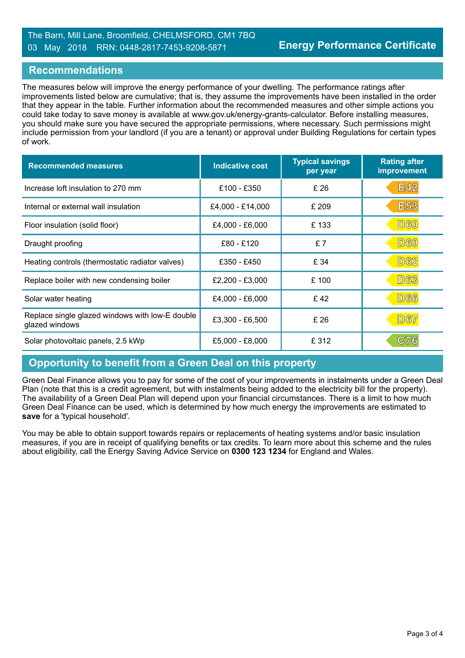#### **Recommendations**

The measures below will improve the energy performance of your dwelling. The performance ratings after improvements listed below are cumulative; that is, they assume the improvements have been installed in the order that they appear in the table. Further information about the recommended measures and other simple actions you could take today to save money is available at www.gov.uk/energy-grants-calculator. Before installing measures, you should make sure you have secured the appropriate permissions, where necessary. Such permissions might include permission from your landlord (if you are a tenant) or approval under Building Regulations for certain types of work.

| <b>Recommended measures</b>                                       | <b>Indicative cost</b> | <b>Typical savings</b><br>per year | <b>Rating after</b><br>improvement |
|-------------------------------------------------------------------|------------------------|------------------------------------|------------------------------------|
| Increase loft insulation to 270 mm                                | £100 - £350            | £26                                | <b>E42</b>                         |
| Internal or external wall insulation                              | £4,000 - £14,000       | £ 209                              | <b>E53</b>                         |
| Floor insulation (solid floor)                                    | £4,000 - £6,000        | £133                               | <b>D60</b>                         |
| Draught proofing                                                  | £80 - £120             | £7                                 | <b>D60</b>                         |
| Heating controls (thermostatic radiator valves)                   | £350 - £450            | £ 34                               | <b>D62</b>                         |
| Replace boiler with new condensing boiler                         | £2,200 - £3,000        | £100                               | <b>D63</b>                         |
| Solar water heating                                               | £4,000 - £6,000        | £42                                | <b>D66</b>                         |
| Replace single glazed windows with low-E double<br>glazed windows | £3,300 - £6,500        | £26                                | D67                                |
| Solar photovoltaic panels, 2.5 kWp                                | £5,000 - £8,000        | £ 312                              | C76                                |

# **Opportunity to benefit from a Green Deal on this property**

Green Deal Finance allows you to pay for some of the cost of your improvements in instalments under a Green Deal Plan (note that this is a credit agreement, but with instalments being added to the electricity bill for the property). The availability of a Green Deal Plan will depend upon your financial circumstances. There is a limit to how much Green Deal Finance can be used, which is determined by how much energy the improvements are estimated to **save** for a 'typical household'.

You may be able to obtain support towards repairs or replacements of heating systems and/or basic insulation measures, if you are in receipt of qualifying benefits or tax credits. To learn more about this scheme and the rules about eligibility, call the Energy Saving Advice Service on **0300 123 1234** for England and Wales.